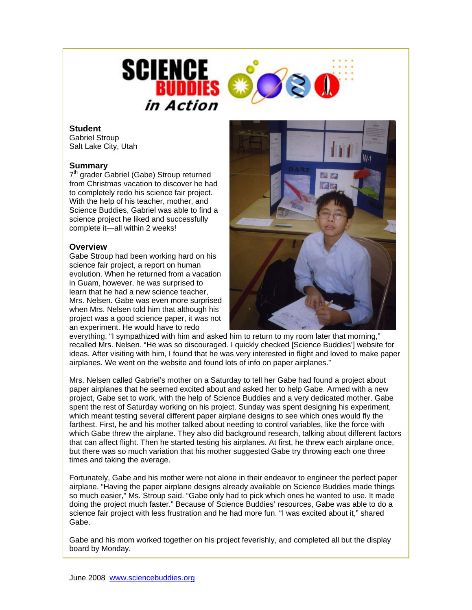

## **Student**

Gabriel Stroup Salt Lake City, Utah

## **Summary**

7<sup>th</sup> grader Gabriel (Gabe) Stroup returned from Christmas vacation to discover he had to completely redo his science fair project. With the help of his teacher, mother, and Science Buddies, Gabriel was able to find a science project he liked and successfully complete it—all within 2 weeks!

## **Overview**

Gabe Stroup had been working hard on his science fair project, a report on human evolution. When he returned from a vacation in Guam, however, he was surprised to learn that he had a new science teacher, Mrs. Nelsen. Gabe was even more surprised when Mrs. Nelsen told him that although his project was a good science paper, it was not an experiment. He would have to redo



everything. "I sympathized with him and asked him to return to my room later that morning." recalled Mrs. Nelsen. "He was so discouraged. I quickly checked [Science Buddies'] website for ideas. After visiting with him, I found that he was very interested in flight and loved to make paper airplanes. We went on the website and found lots of info on paper airplanes."

Mrs. Nelsen called Gabriel's mother on a Saturday to tell her Gabe had found a project about paper airplanes that he seemed excited about and asked her to help Gabe. Armed with a new project, Gabe set to work, with the help of Science Buddies and a very dedicated mother. Gabe spent the rest of Saturday working on his project. Sunday was spent designing his experiment, which meant testing several different paper airplane designs to see which ones would fly the farthest. First, he and his mother talked about needing to control variables, like the force with which Gabe threw the airplane. They also did background research, talking about different factors that can affect flight. Then he started testing his airplanes. At first, he threw each airplane once, but there was so much variation that his mother suggested Gabe try throwing each one three times and taking the average.

Fortunately, Gabe and his mother were not alone in their endeavor to engineer the perfect paper airplane. "Having the paper airplane designs already available on Science Buddies made things so much easier," Ms. Stroup said. "Gabe only had to pick which ones he wanted to use. It made doing the project much faster." Because of Science Buddies' resources, Gabe was able to do a science fair project with less frustration and he had more fun. "I was excited about it," shared Gabe.

Gabe and his mom worked together on his project feverishly, and completed all but the display board by Monday.